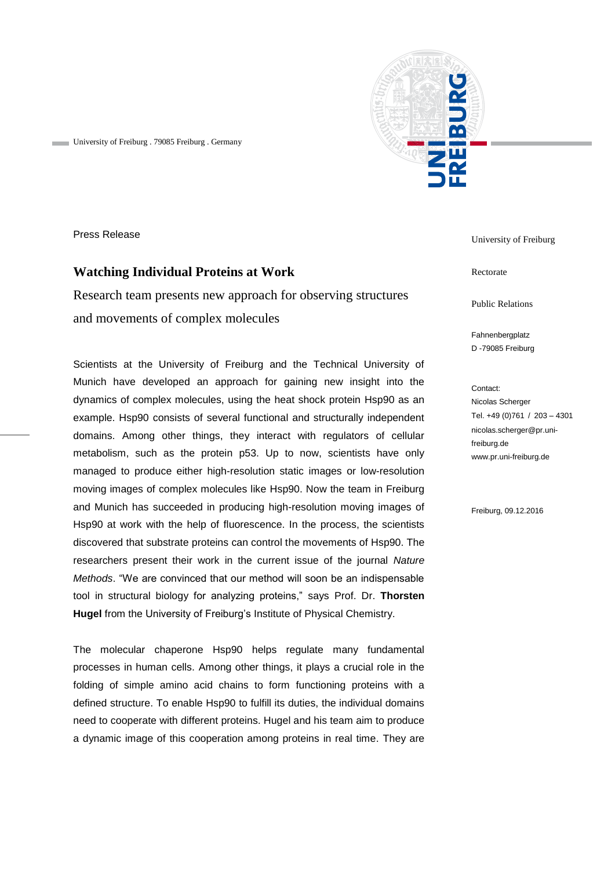

University of Freiburg . 79085 Freiburg . Germany

Press Release

## **Watching Individual Proteins at Work**

Research team presents new approach for observing structures and movements of complex molecules

Scientists at the University of Freiburg and the Technical University of Munich have developed an approach for gaining new insight into the dynamics of complex molecules, using the heat shock protein Hsp90 as an example. Hsp90 consists of several functional and structurally independent domains. Among other things, they interact with regulators of cellular metabolism, such as the protein p53. Up to now, scientists have only managed to produce either high-resolution static images or low-resolution moving images of complex molecules like Hsp90. Now the team in Freiburg and Munich has succeeded in producing high-resolution moving images of Hsp90 at work with the help of fluorescence. In the process, the scientists discovered that substrate proteins can control the movements of Hsp90. The researchers present their work in the current issue of the journal *Nature Methods*. "We are convinced that our method will soon be an indispensable tool in structural biology for analyzing proteins," says Prof. Dr. **Thorsten Hugel** from the University of Freiburg's Institute of Physical Chemistry.

The molecular chaperone Hsp90 helps regulate many fundamental processes in human cells. Among other things, it plays a crucial role in the folding of simple amino acid chains to form functioning proteins with a defined structure. To enable Hsp90 to fulfill its duties, the individual domains need to cooperate with different proteins. Hugel and his team aim to produce a dynamic image of this cooperation among proteins in real time. They are

University of Freiburg

Rectorate

Public Relations

Fahnenbergplatz D -79085 Freiburg

Contact: Nicolas Scherger Tel. +49 (0)761 / 203 – 4301 nicolas.scherger@pr.unifreiburg.de www.pr.uni-freiburg.de

Freiburg, 09.12.2016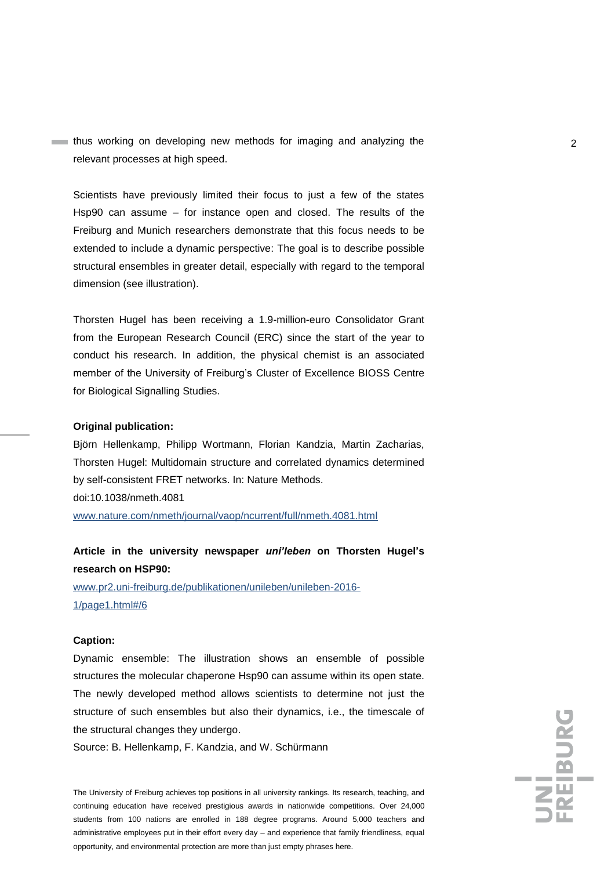**thus working on developing new methods for imaging and analyzing the 2** relevant processes at high speed.

Scientists have previously limited their focus to just a few of the states Hsp90 can assume – for instance open and closed. The results of the Freiburg and Munich researchers demonstrate that this focus needs to be extended to include a dynamic perspective: The goal is to describe possible structural ensembles in greater detail, especially with regard to the temporal dimension (see illustration).

Thorsten Hugel has been receiving a 1.9-million-euro Consolidator Grant from the European Research Council (ERC) since the start of the year to conduct his research. In addition, the physical chemist is an associated member of the University of Freiburg's Cluster of Excellence BIOSS Centre for Biological Signalling Studies.

### **Original publication:**

Björn Hellenkamp, Philipp Wortmann, Florian Kandzia, Martin Zacharias, Thorsten Hugel: Multidomain structure and correlated dynamics determined by self-consistent FRET networks. In: Nature Methods. doi:10.1038/nmeth.4081

[www.nature.com/nmeth/journal/vaop/ncurrent/full/nmeth.4081.html](http://www.nature.com/nmeth/journal/vaop/ncurrent/full/nmeth.4081.html)

# **Article in the university newspaper** *uni'leben* **on Thorsten Hugel's research on HSP90:**

www.pr2.uni-freiburg.de/publikationen/unileben/unileben-2016- 1/page1.html#/6

#### **Caption:**

Dynamic ensemble: The illustration shows an ensemble of possible structures the molecular chaperone Hsp90 can assume within its open state. The newly developed method allows scientists to determine not just the structure of such ensembles but also their dynamics, i.e., the timescale of the structural changes they undergo.

Source: B. Hellenkamp, F. Kandzia, and W. Schürmann

The University of Freiburg achieves top positions in all university rankings. Its research, teaching, and continuing education have received prestigious awards in nationwide competitions. Over 24,000 students from 100 nations are enrolled in 188 degree programs. Around 5,000 teachers and administrative employees put in their effort every day – and experience that family friendliness, equal opportunity, and environmental protection are more than just empty phrases here.